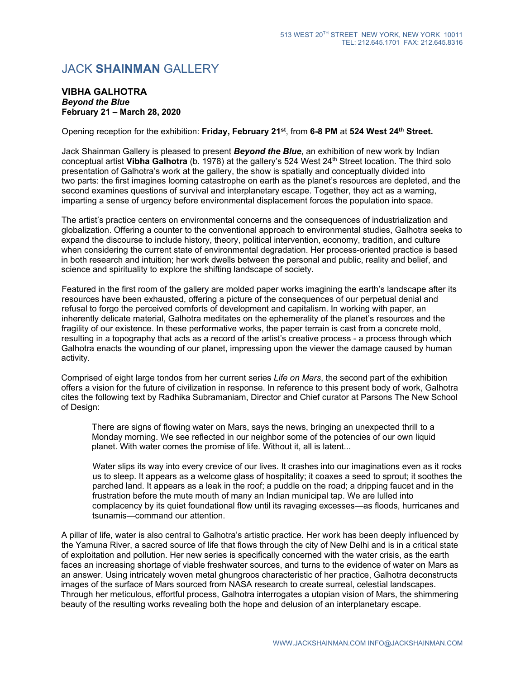## JACK **SHAINMAN** GALLERY

## **VIBHA GALHOTRA** *Beyond the Blue* **February 21 – March 28, 2020**

Opening reception for the exhibition: **Friday, February 21st**, from **6-8 PM** at **524 West 24th Street.**

Jack Shainman Gallery is pleased to present *Beyond the Blue*, an exhibition of new work by Indian conceptual artist **Vibha Galhotra** (b. 1978) at the gallery's 524 West 24th Street location. The third solo presentation of Galhotra's work at the gallery, the show is spatially and conceptually divided into two parts: the first imagines looming catastrophe on earth as the planet's resources are depleted, and the second examines questions of survival and interplanetary escape. Together, they act as a warning, imparting a sense of urgency before environmental displacement forces the population into space.

The artist's practice centers on environmental concerns and the consequences of industrialization and globalization. Offering a counter to the conventional approach to environmental studies, Galhotra seeks to expand the discourse to include history, theory, political intervention, economy, tradition, and culture when considering the current state of environmental degradation. Her process-oriented practice is based in both research and intuition; her work dwells between the personal and public, reality and belief, and science and spirituality to explore the shifting landscape of society.

Featured in the first room of the gallery are molded paper works imagining the earth's landscape after its resources have been exhausted, offering a picture of the consequences of our perpetual denial and refusal to forgo the perceived comforts of development and capitalism. In working with paper, an inherently delicate material, Galhotra meditates on the ephemerality of the planet's resources and the fragility of our existence. In these performative works, the paper terrain is cast from a concrete mold, resulting in a topography that acts as a record of the artist's creative process - a process through which Galhotra enacts the wounding of our planet, impressing upon the viewer the damage caused by human activity.

Comprised of eight large tondos from her current series *Life on Mars*, the second part of the exhibition offers a vision for the future of civilization in response. In reference to this present body of work, Galhotra cites the following text by Radhika Subramaniam, Director and Chief curator at Parsons The New School of Design:

There are signs of flowing water on Mars, says the news, bringing an unexpected thrill to a Monday morning. We see reflected in our neighbor some of the potencies of our own liquid planet. With water comes the promise of life. Without it, all is latent...

Water slips its way into every crevice of our lives. It crashes into our imaginations even as it rocks us to sleep. It appears as a welcome glass of hospitality; it coaxes a seed to sprout; it soothes the parched land. It appears as a leak in the roof; a puddle on the road; a dripping faucet and in the frustration before the mute mouth of many an Indian municipal tap. We are lulled into complacency by its quiet foundational flow until its ravaging excesses—as floods, hurricanes and tsunamis—command our attention.

A pillar of life, water is also central to Galhotra's artistic practice. Her work has been deeply influenced by the Yamuna River, a sacred source of life that flows through the city of New Delhi and is in a critical state of exploitation and pollution. Her new series is specifically concerned with the water crisis, as the earth faces an increasing shortage of viable freshwater sources, and turns to the evidence of water on Mars as an answer. Using intricately woven metal ghungroos characteristic of her practice, Galhotra deconstructs images of the surface of Mars sourced from NASA research to create surreal, celestial landscapes. Through her meticulous, effortful process, Galhotra interrogates a utopian vision of Mars, the shimmering beauty of the resulting works revealing both the hope and delusion of an interplanetary escape.